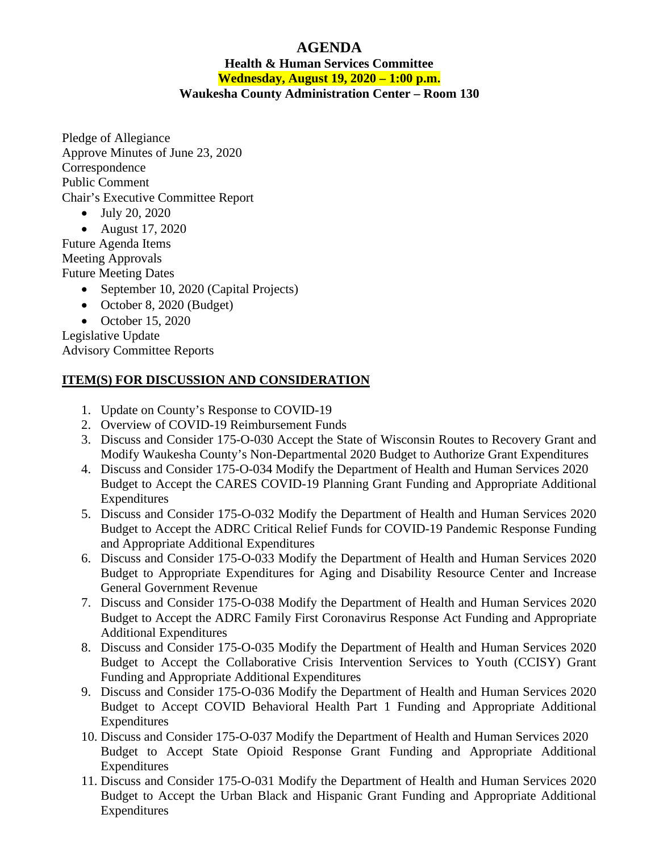## **AGENDA**

## **Health & Human Services Committee Wednesday, August 19, 2020 – 1:00 p.m. Waukesha County Administration Center – Room 130**

Pledge of Allegiance Approve Minutes of June 23, 2020 Correspondence Public Comment Chair's Executive Committee Report

• July 20, 2020

• August 17, 2020 Future Agenda Items

Meeting Approvals Future Meeting Dates

- September 10, 2020 (Capital Projects)
- October 8, 2020 (Budget)
- October 15, 2020

Legislative Update Advisory Committee Reports

## **ITEM(S) FOR DISCUSSION AND CONSIDERATION**

- 1. Update on County's Response to COVID-19
- 2. Overview of COVID-19 Reimbursement Funds
- 3. Discuss and Consider 175-O-030 Accept the State of Wisconsin Routes to Recovery Grant and Modify Waukesha County's Non-Departmental 2020 Budget to Authorize Grant Expenditures
- 4. Discuss and Consider 175-O-034 Modify the Department of Health and Human Services 2020 Budget to Accept the CARES COVID-19 Planning Grant Funding and Appropriate Additional Expenditures
- 5. Discuss and Consider 175-O-032 Modify the Department of Health and Human Services 2020 Budget to Accept the ADRC Critical Relief Funds for COVID-19 Pandemic Response Funding and Appropriate Additional Expenditures
- 6. Discuss and Consider 175-O-033 Modify the Department of Health and Human Services 2020 Budget to Appropriate Expenditures for Aging and Disability Resource Center and Increase General Government Revenue
- 7. Discuss and Consider 175-O-038 Modify the Department of Health and Human Services 2020 Budget to Accept the ADRC Family First Coronavirus Response Act Funding and Appropriate Additional Expenditures
- 8. Discuss and Consider 175-O-035 Modify the Department of Health and Human Services 2020 Budget to Accept the Collaborative Crisis Intervention Services to Youth (CCISY) Grant Funding and Appropriate Additional Expenditures
- 9. Discuss and Consider 175-O-036 Modify the Department of Health and Human Services 2020 Budget to Accept COVID Behavioral Health Part 1 Funding and Appropriate Additional Expenditures
- 10. Discuss and Consider 175-O-037 Modify the Department of Health and Human Services 2020 Budget to Accept State Opioid Response Grant Funding and Appropriate Additional **Expenditures**
- 11. Discuss and Consider 175-O-031 Modify the Department of Health and Human Services 2020 Budget to Accept the Urban Black and Hispanic Grant Funding and Appropriate Additional Expenditures